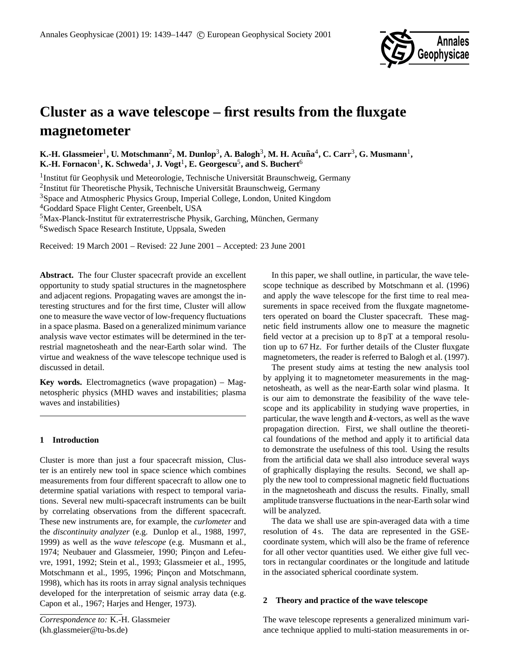

# **Cluster as a wave telescope – first results from the fluxgate magnetometer**

 $\mathbf{K}.$  **H.** Glassmeier<sup>1</sup>, U. Motschmann<sup>2</sup>, M. Dunlop $^3$ , A. Balogh $^3$ , M. H. Acuña $^4$ , C. Carr $^3$ , G. Musmann $^1$ ,  $\mathbf{K}\text{-}\mathbf{H}\text{.}\ \text{Formacon}^1\text{, }\mathbf{K}\text{.}\ \text{Schweda}^1\text{, }\mathbf{J}\text{.}\ \text{Vogt}^1\text{, }\mathbf{E}\text{.}\ \text{Georgescu}^5\text{, and }\mathbf{S}\text{.}\ \text{Buchert}^6\text{.}$ 

<sup>1</sup> Institut für Geophysik und Meteorologie, Technische Universität Braunschweig, Germany <sup>2</sup>Institut für Theoretische Physik, Technische Universität Braunschweig, Germany <sup>3</sup>Space and Atmospheric Physics Group, Imperial College, London, United Kingdom <sup>4</sup>Goddard Space Flight Center, Greenbelt, USA  $<sup>5</sup>$ Max-Planck-Institut für extraterrestrische Physik, Garching, München, Germany</sup>

<sup>6</sup>Swedisch Space Research Institute, Uppsala, Sweden

Received: 19 March 2001 – Revised: 22 June 2001 – Accepted: 23 June 2001

**Abstract.** The four Cluster spacecraft provide an excellent opportunity to study spatial structures in the magnetosphere and adjacent regions. Propagating waves are amongst the interesting structures and for the first time, Cluster will allow one to measure the wave vector of low-frequency fluctuations in a space plasma. Based on a generalized minimum variance analysis wave vector estimates will be determined in the terrestrial magnetosheath and the near-Earth solar wind. The virtue and weakness of the wave telescope technique used is discussed in detail.

**Key words.** Electromagnetics (wave propagation) – Magnetospheric physics (MHD waves and instabilities; plasma waves and instabilities)

# **1 Introduction**

Cluster is more than just a four spacecraft mission, Cluster is an entirely new tool in space science which combines measurements from four different spacecraft to allow one to determine spatial variations with respect to temporal variations. Several new multi-spacecraft instruments can be built by correlating observations from the different spacecraft. These new instruments are, for example, the *curlometer* and the *discontinuity analyzer* (e.g. Dunlop et al., 1988, 1997, 1999) as well as the *wave telescope* (e.g. Musmann et al., 1974; Neubauer and Glassmeier, 1990; Pinçon and Lefeuvre, 1991, 1992; Stein et al., 1993; Glassmeier et al., 1995, Motschmann et al., 1995, 1996; Pinçon and Motschmann, 1998), which has its roots in array signal analysis techniques developed for the interpretation of seismic array data (e.g. Capon et al., 1967; Harjes and Henger, 1973).

In this paper, we shall outline, in particular, the wave telescope technique as described by Motschmann et al. (1996) and apply the wave telescope for the first time to real measurements in space received from the fluxgate magnetometers operated on board the Cluster spacecraft. These magnetic field instruments allow one to measure the magnetic field vector at a precision up to 8 pT at a temporal resolution up to 67 Hz. For further details of the Cluster fluxgate magnetometers, the reader is referred to Balogh et al. (1997).

The present study aims at testing the new analysis tool by applying it to magnetometer measurements in the magnetosheath, as well as the near-Earth solar wind plasma. It is our aim to demonstrate the feasibility of the wave telescope and its applicability in studying wave properties, in particular, the wave length and  $k$ -vectors, as well as the wave propagation direction. First, we shall outline the theoretical foundations of the method and apply it to artificial data to demonstrate the usefulness of this tool. Using the results from the artificial data we shall also introduce several ways of graphically displaying the results. Second, we shall apply the new tool to compressional magnetic field fluctuations in the magnetosheath and discuss the results. Finally, small amplitude transverse fluctuations in the near-Earth solar wind will be analyzed.

The data we shall use are spin-averaged data with a time resolution of 4 s. The data are represented in the GSEcoordinate system, which will also be the frame of reference for all other vector quantities used. We either give full vectors in rectangular coordinates or the longitude and latitude in the associated spherical coordinate system.

### **2 Theory and practice of the wave telescope**

The wave telescope represents a generalized minimum variance technique applied to multi-station measurements in or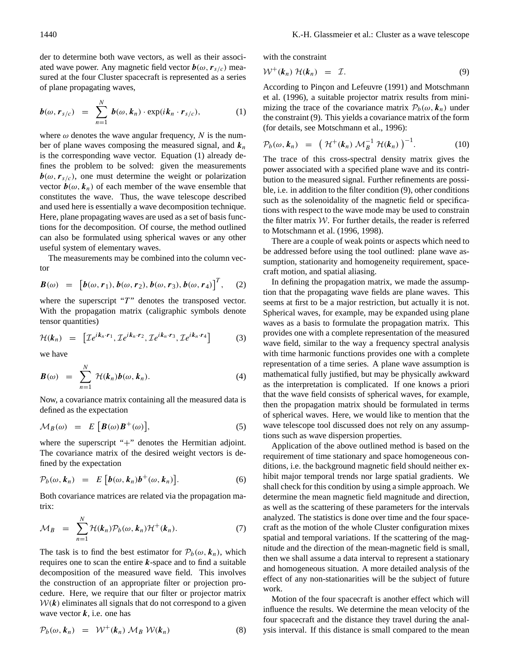der to determine both wave vectors, as well as their associated wave power. Any magnetic field vector  $\mathbf{b}(\omega, \mathbf{r}_{s/c})$  measured at the four Cluster spacecraft is represented as a series of plane propagating waves,

$$
\boldsymbol{b}(\omega,\boldsymbol{r}_{s/c}) = \sum_{n=1}^{N} \boldsymbol{b}(\omega,\boldsymbol{k}_{n}) \cdot \exp(i\boldsymbol{k}_{n} \cdot \boldsymbol{r}_{s/c}), \qquad (1)
$$

where  $\omega$  denotes the wave angular frequency, N is the number of plane waves composing the measured signal, and  $k_n$ is the corresponding wave vector. Equation (1) already defines the problem to be solved: given the measurements  $\mathbf{b}(\omega, r_{s/c})$ , one must determine the weight or polarization vector  $\mathbf{b}(\omega, \mathbf{k}_n)$  of each member of the wave ensemble that constitutes the wave. Thus, the wave telescope described and used here is essentially a wave decomposition technique. Here, plane propagating waves are used as a set of basis functions for the decomposition. Of course, the method outlined can also be formulated using spherical waves or any other useful system of elementary waves.

The measurements may be combined into the column vector

$$
\boldsymbol{B}(\omega) = [b(\omega, r_1), b(\omega, r_2), b(\omega, r_3), b(\omega, r_4)]^T, (2)
$$

where the superscript " $T$ " denotes the transposed vector. With the propagation matrix (caligraphic symbols denote tensor quantities)

$$
\mathcal{H}(k_n) = \left[ \mathcal{I}e^{ik_n \cdot r_1}, \mathcal{I}e^{ik_n \cdot r_2}, \mathcal{I}e^{ik_n \cdot r_3}, \mathcal{I}e^{ik_n \cdot r_4} \right] \tag{3}
$$

we have

 $\ddotsc$ 

$$
\boldsymbol{B}(\omega) = \sum_{n=1}^{N} \mathcal{H}(\boldsymbol{k}_n) \boldsymbol{b}(\omega, \boldsymbol{k}_n). \tag{4}
$$

Now, a covariance matrix containing all the measured data is defined as the expectation

$$
\mathcal{M}_B(\omega) = E\left[\boldsymbol{B}(\omega)\boldsymbol{B}^+(\omega)\right],\tag{5}
$$

where the superscript "+" denotes the Hermitian adjoint. The covariance matrix of the desired weight vectors is defined by the expectation

$$
\mathcal{P}_b(\omega, \boldsymbol{k}_n) = E\left[\boldsymbol{b}(\omega, \boldsymbol{k}_n)\boldsymbol{b}^+(\omega, \boldsymbol{k}_n)\right]. \tag{6}
$$

Both covariance matrices are related via the propagation matrix:

$$
\mathcal{M}_B = \sum_{n=1}^N \mathcal{H}(k_n) \mathcal{P}_b(\omega, k_n) \mathcal{H}^+(k_n). \tag{7}
$$

The task is to find the best estimator for  $\mathcal{P}_b(\omega, k_n)$ , which requires one to scan the entire  $k$ -space and to find a suitable decomposition of the measured wave field. This involves the construction of an appropriate filter or projection procedure. Here, we require that our filter or projector matrix  $W(k)$  eliminates all signals that do not correspond to a given wave vector  $k$ , i.e. one has

$$
\mathcal{P}_b(\omega, k_n) = \mathcal{W}^+(k_n) \mathcal{M}_B \mathcal{W}(k_n) \tag{8}
$$

with the constraint

$$
\mathcal{W}^+(k_n) \; \mathcal{H}(k_n) \;\; = \;\; \mathcal{I}.\tag{9}
$$

According to Pinçon and Lefeuvre (1991) and Motschmann et al. (1996), a suitable projector matrix results from minimizing the trace of the covariance matrix  $P_b(\omega, k_n)$  under the constraint (9). This yields a covariance matrix of the form (for details, see Motschmann et al., 1996):

$$
\mathcal{P}_b(\omega, \boldsymbol{k}_n) = (\mathcal{H}^+(\boldsymbol{k}_n) \mathcal{M}_B^{-1} \mathcal{H}(\boldsymbol{k}_n))^{-1}.
$$
 (10)

The trace of this cross-spectral density matrix gives the power associated with a specified plane wave and its contribution to the measured signal. Further refinements are possible, i.e. in addition to the filter condition (9), other conditions such as the solenoidality of the magnetic field or specifications with respect to the wave mode may be used to constrain the filter matrix  $W$ . For further details, the reader is referred to Motschmann et al. (1996, 1998).

There are a couple of weak points or aspects which need to be addressed before using the tool outlined: plane wave assumption, stationarity and homogeneity requirement, spacecraft motion, and spatial aliasing.

In defining the propagation matrix, we made the assumption that the propagating wave fields are plane waves. This seems at first to be a major restriction, but actually it is not. Spherical waves, for example, may be expanded using plane waves as a basis to formulate the propagation matrix. This provides one with a complete representation of the measured wave field, similar to the way a frequency spectral analysis with time harmonic functions provides one with a complete representation of a time series. A plane wave assumption is mathematical fully justified, but may be physically awkward as the interpretation is complicated. If one knows a priori that the wave field consists of spherical waves, for example, then the propagation matrix should be formulated in terms of spherical waves. Here, we would like to mention that the wave telescope tool discussed does not rely on any assumptions such as wave dispersion properties.

Application of the above outlined method is based on the requirement of time stationary and space homogeneous conditions, i.e. the background magnetic field should neither exhibit major temporal trends nor large spatial gradients. We shall check for this condition by using a simple approach. We determine the mean magnetic field magnitude and direction, as well as the scattering of these parameters for the intervals analyzed. The statistics is done over time and the four spacecraft as the motion of the whole Cluster configuration mixes spatial and temporal variations. If the scattering of the magnitude and the direction of the mean-magnetic field is small, then we shall assume a data interval to represent a stationary and homogeneous situation. A more detailed analysis of the effect of any non-stationarities will be the subject of future work.

Motion of the four spacecraft is another effect which will influence the results. We determine the mean velocity of the four spacecraft and the distance they travel during the analysis interval. If this distance is small compared to the mean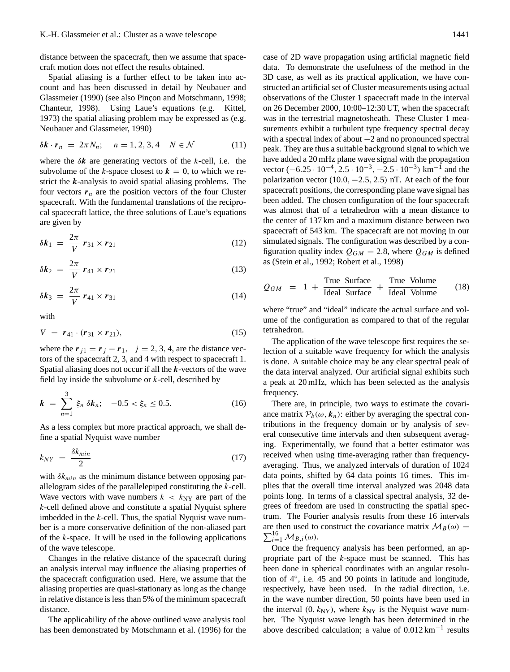distance between the spacecraft, then we assume that spacecraft motion does not effect the results obtained.

Spatial aliasing is a further effect to be taken into account and has been discussed in detail by Neubauer and Glassmeier (1990) (see also Pincon and Motschmann, 1998; Chanteur, 1998). Using Laue's equations (e.g. Kittel, 1973) the spatial aliasing problem may be expressed as (e.g. Neubauer and Glassmeier, 1990)

$$
\delta \mathbf{k} \cdot \mathbf{r}_n = 2\pi N_n; \quad n = 1, 2, 3, 4 \quad N \in \mathcal{N} \tag{11}
$$

where the  $\delta k$  are generating vectors of the k-cell, i.e. the subvolume of the k-space closest to  $k = 0$ , to which we restrict the  $k$ -analysis to avoid spatial aliasing problems. The four vectors  $r_n$  are the position vectors of the four Cluster spacecraft. With the fundamental translations of the reciprocal spacecraft lattice, the three solutions of Laue's equations are given by

$$
\delta \boldsymbol{k}_1 = \frac{2\pi}{V} \boldsymbol{r}_{31} \times \boldsymbol{r}_{21} \tag{12}
$$

$$
\delta \boldsymbol{k}_2 \ = \ \frac{2\pi}{V} \ \boldsymbol{r}_{41} \times \boldsymbol{r}_{21} \tag{13}
$$

$$
\delta \boldsymbol{k}_3 = \frac{2\pi}{V} \boldsymbol{r}_{41} \times \boldsymbol{r}_{31} \tag{14}
$$

with

$$
V = r_{41} \cdot (r_{31} \times r_{21}), \tag{15}
$$

where the  $r_{j1} = r_j - r_1$ ,  $j = 2, 3, 4$ , are the distance vectors of the spacecraft 2, 3, and 4 with respect to spacecraft 1. Spatial aliasing does not occur if all the  $k$ -vectors of the wave field lay inside the subvolume or  $k$ -cell, described by

$$
k = \sum_{n=1}^{3} \xi_n \, \delta k_n; \quad -0.5 < \xi_n \le 0.5. \tag{16}
$$

As a less complex but more practical approach, we shall define a spatial Nyquist wave number

$$
k_{NY} = \frac{\delta k_{min}}{2} \tag{17}
$$

with  $\delta k_{min}$  as the minimum distance between opposing parallelogram sides of the parallelepiped constituting the k-cell. Wave vectors with wave numbers  $k \, < \, k_{\rm NY}$  are part of the k-cell defined above and constitute a spatial Nyquist sphere imbedded in the  $k$ -cell. Thus, the spatial Nyquist wave number is a more conservative definition of the non-aliased part of the  $k$ -space. It will be used in the following applications of the wave telescope.

Changes in the relative distance of the spacecraft during an analysis interval may influence the aliasing properties of the spacecraft configuration used. Here, we assume that the aliasing properties are quasi-stationary as long as the change in relative distance is less than 5% of the minimum spacecraft distance.

The applicability of the above outlined wave analysis tool has been demonstrated by Motschmann et al. (1996) for the case of 2D wave propagation using artificial magnetic field data. To demonstrate the usefulness of the method in the 3D case, as well as its practical application, we have constructed an artificial set of Cluster measurements using actual observations of the Cluster 1 spacecraft made in the interval on 26 December 2000, 10:00–12:30 UT, when the spacecraft was in the terrestrial magnetosheath. These Cluster 1 measurements exhibit a turbulent type frequency spectral decay with a spectral index of about −2 and no pronounced spectral peak. They are thus a suitable background signal to which we

$$
Q_{GM} = 1 + \frac{\text{True Surface}}{\text{Ideal Surface}} + \frac{\text{True Volume}}{\text{Ideal Volume}} \qquad (18)
$$

as (Stein et al., 1992; Robert et al., 1998)

have added a 20 mHz plane wave signal with the propagation vector  $(-6.25 \cdot 10^{-4}, 2.5 \cdot 10^{-3}, -2.5 \cdot 10^{-3})$  km<sup>-1</sup> and the polarization vector  $(10.0, -2.5, 2.5)$  nT. At each of the four spacecraft positions, the corresponding plane wave signal has been added. The chosen configuration of the four spacecraft was almost that of a tetrahedron with a mean distance to the center of 137 km and a maximum distance between two spacecraft of 543 km. The spacecraft are not moving in our simulated signals. The configuration was described by a configuration quality index  $Q_{GM} = 2.8$ , where  $Q_{GM}$  is defined

where "true" and "ideal" indicate the actual surface and volume of the configuration as compared to that of the regular tetrahedron.

The application of the wave telescope first requires the selection of a suitable wave frequency for which the analysis is done. A suitable choice may be any clear spectral peak of the data interval analyzed. Our artificial signal exhibits such a peak at 20 mHz, which has been selected as the analysis frequency.

There are, in principle, two ways to estimate the covariance matrix  $P_b(\omega, k_n)$ : either by averaging the spectral contributions in the frequency domain or by analysis of several consecutive time intervals and then subsequent averaging. Experimentally, we found that a better estimator was received when using time-averaging rather than frequencyaveraging. Thus, we analyzed intervals of duration of 1024 data points, shifted by 64 data points 16 times. This implies that the overall time interval analyzed was 2048 data points long. In terms of a classical spectral analysis, 32 degrees of freedom are used in constructing the spatial spectrum. The Fourier analysis results from these 16 intervals are then used to construct the covariance matrix  $M_B(\omega)$  =  $\sum_{i=1}^{16} \mathcal{M}_{B,i}(\omega)$ .

Once the frequency analysis has been performed, an appropriate part of the k-space must be scanned. This has been done in spherical coordinates with an angular resolution of 4◦ , i.e. 45 and 90 points in latitude and longitude, respectively, have been used. In the radial direction, i.e. in the wave number direction, 50 points have been used in the interval  $(0, k_{\text{NY}})$ , where  $k_{\text{NY}}$  is the Nyquist wave number. The Nyquist wave length has been determined in the above described calculation; a value of 0.012 km−<sup>1</sup> results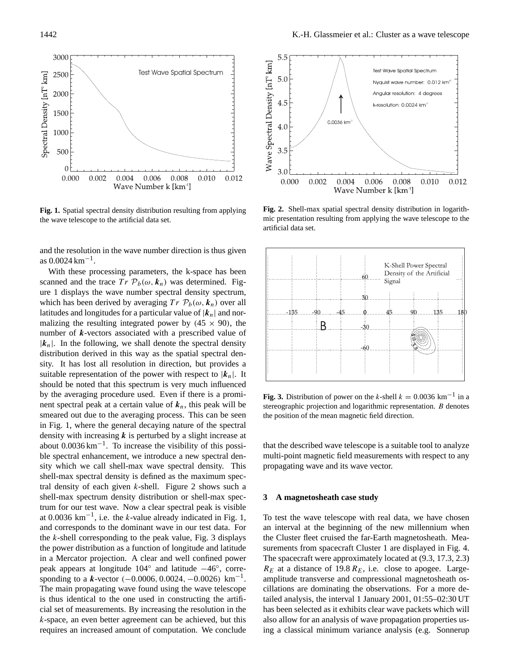

**Fig. 1.** Spatial spectral density distribution resulting from applying the wave telescope to the artificial data set.

and the resolution in the wave number direction is thus given as  $0.0024 \,\mathrm{km}^{-1}$ .

With these processing parameters, the k-space has been scanned and the trace  $Tr \mathcal{P}_b(\omega, k_n)$  was determined. Figure 1 displays the wave number spectral density spectrum, which has been derived by averaging  $Tr \mathcal{P}_b(\omega, k_n)$  over all latitudes and longitudes for a particular value of  $|k_n|$  and normalizing the resulting integrated power by  $(45 \times 90)$ , the number of  $k$ -vectors associated with a prescribed value of  $|k_n|$ . In the following, we shall denote the spectral density distribution derived in this way as the spatial spectral density. It has lost all resolution in direction, but provides a suitable representation of the power with respect to  $|k_n|$ . It should be noted that this spectrum is very much influenced by the averaging procedure used. Even if there is a prominent spectral peak at a certain value of  $k_n$ , this peak will be smeared out due to the averaging process. This can be seen in Fig. 1, where the general decaying nature of the spectral density with increasing  $k$  is perturbed by a slight increase at about 0.0036 km−<sup>1</sup> . To increase the visibility of this possible spectral enhancement, we introduce a new spectral density which we call shell-max wave spectral density. This shell-max spectral density is defined as the maximum spectral density of each given  $k$ -shell. Figure 2 shows such a shell-max spectrum density distribution or shell-max spectrum for our test wave. Now a clear spectral peak is visible at 0.0036  $km^{-1}$ , i.e. the k-value already indicated in Fig. 1, and corresponds to the dominant wave in our test data. For the  $k$ -shell corresponding to the peak value, Fig. 3 displays the power distribution as a function of longitude and latitude in a Mercator projection. A clear and well confined power peak appears at longitude 104° and latitude -46°, corresponding to a  $k$ -vector (-0.0006, 0.0024, -0.0026) km<sup>-1</sup>. The main propagating wave found using the wave telescope is thus identical to the one used in constructing the artificial set of measurements. By increasing the resolution in the k-space, an even better agreement can be achieved, but this requires an increased amount of computation. We conclude



**Fig. 2.** Shell-max spatial spectral density distribution in logarithmic presentation resulting from applying the wave telescope to the artificial data set.



**Fig. 3.** Distribution of power on the k-shell  $k = 0.0036 \text{ km}^{-1}$  in a stereographic projection and logarithmic representation. B denotes the position of the mean magnetic field direction.

that the described wave telescope is a suitable tool to analyze multi-point magnetic field measurements with respect to any propagating wave and its wave vector.

### **3 A magnetosheath case study**

To test the wave telescope with real data, we have chosen an interval at the beginning of the new millennium when the Cluster fleet cruised the far-Earth magnetosheath. Measurements from spacecraft Cluster 1 are displayed in Fig. 4. The spacecraft were approximately located at (9.3, 17.3, 2.3)  $R_E$  at a distance of 19.8  $R_E$ , i.e. close to apogee. Largeamplitude transverse and compressional magnetosheath oscillations are dominating the observations. For a more detailed analysis, the interval 1 January 2001, 01:55–02:30 UT has been selected as it exhibits clear wave packets which will also allow for an analysis of wave propagation properties using a classical minimum variance analysis (e.g. Sonnerup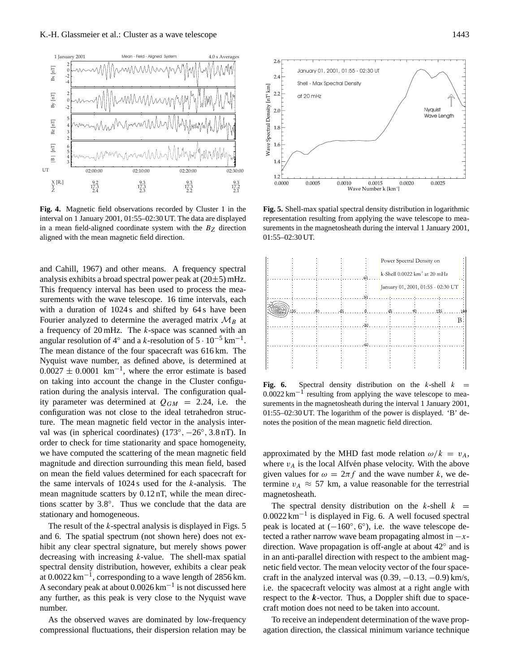

**Fig. 4.** Magnetic field observations recorded by Cluster 1 in the interval on 1 January 2001, 01:55–02:30 UT. The data are displayed in a mean field-aligned coordinate system with the  $B<sub>Z</sub>$  direction aligned with the mean magnetic field direction.

and Cahill, 1967) and other means. A frequency spectral analysis exhibits a broad spectral power peak at  $(20\pm 5)$  mHz. This frequency interval has been used to process the measurements with the wave telescope. 16 time intervals, each with a duration of 1024 s and shifted by 64 s have been Fourier analyzed to determine the averaged matrix  $\mathcal{M}_B$  at a frequency of  $20 \text{ mHz}$ . The *k*-space was scanned with an angular resolution of 4° and a k-resolution of  $5 \cdot 10^{-5}$  km<sup>-1</sup>. The mean distance of the four spacecraft was 616 km. The Nyquist wave number, as defined above, is determined at  $0.0027 \pm 0.0001$  km<sup>-1</sup>, where the error estimate is based on taking into account the change in the Cluster configuration during the analysis interval. The configuration quality parameter was determined at  $Q_{GM} = 2.24$ , i.e. the configuration was not close to the ideal tetrahedron structure. The mean magnetic field vector in the analysis interval was (in spherical coordinates)  $(173^\circ, -26^\circ, 3.8 \,\text{nT})$ . In order to check for time stationarity and space homogeneity, we have computed the scattering of the mean magnetic field magnitude and direction surrounding this mean field, based on mean the field values determined for each spacecraft for the same intervals of  $1024$  s used for the k-analysis. The mean magnitude scatters by 0.12 nT, while the mean directions scatter by 3.8°. Thus we conclude that the data are stationary and homogeneous.

The result of the  $k$ -spectral analysis is displayed in Figs. 5 and 6. The spatial spectrum (not shown here) does not exhibit any clear spectral signature, but merely shows power decreasing with increasing k-value. The shell-max spatial spectral density distribution, however, exhibits a clear peak at 0.0022 km<sup>-1</sup>, corresponding to a wave length of 2856 km. A secondary peak at about 0.0026 km−<sup>1</sup> is not discussed here any further, as this peak is very close to the Nyquist wave number.

As the observed waves are dominated by low-frequency compressional fluctuations, their dispersion relation may be



**Fig. 5.** Shell-max spatial spectral density distribution in logarithmic representation resulting from applying the wave telescope to measurements in the magnetosheath during the interval 1 January 2001, 01:55–02:30 UT.



**Fig. 6.** Spectral density distribution on the k-shell  $k =$  $0.0022 \text{ km}^{-1}$  resulting from applying the wave telescope to measurements in the magnetosheath during the interval 1 January 2001, 01:55–02:30 UT. The logarithm of the power is displayed. 'B' denotes the position of the mean magnetic field direction.

approximated by the MHD fast mode relation  $\omega/k = v_A$ , where  $v_A$  is the local Alfvén phase velocity. With the above given values for  $\omega = 2\pi f$  and the wave number k, we determine  $v_A \approx 57$  km, a value reasonable for the terrestrial magnetosheath.

The spectral density distribution on the k-shell  $k =$ 0.0022 km−<sup>1</sup> is displayed in Fig. 6. A well focused spectral peak is located at  $(-160^{\circ}, 6^{\circ})$ , i.e. the wave telescope detected a rather narrow wave beam propagating almost in  $-x$ direction. Wave propagation is off-angle at about 42◦ and is in an anti-parallel direction with respect to the ambient magnetic field vector. The mean velocity vector of the four spacecraft in the analyzed interval was  $(0.39, -0.13, -0.9)$  km/s, i.e. the spacecraft velocity was almost at a right angle with respect to the  $k$ -vector. Thus, a Doppler shift due to spacecraft motion does not need to be taken into account.

To receive an independent determination of the wave propagation direction, the classical minimum variance technique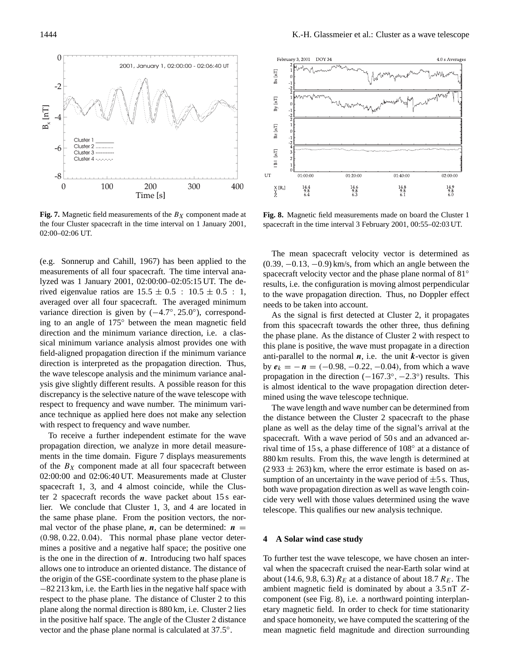

**Fig. 7.** Magnetic field measurements of the  $B_X$  component made at the four Cluster spacecraft in the time interval on 1 January 2001, 02:00–02:06 UT.

(e.g. Sonnerup and Cahill, 1967) has been applied to the measurements of all four spacecraft. The time interval analyzed was 1 January 2001, 02:00:00–02:05:15 UT. The derived eigenvalue ratios are  $15.5 \pm 0.5$  :  $10.5 \pm 0.5$  : 1, averaged over all four spacecraft. The averaged minimum variance direction is given by (-4.7°, 25.0°), corresponding to an angle of 175◦ between the mean magnetic field direction and the minimum variance direction, i.e. a classical minimum variance analysis almost provides one with field-aligned propagation direction if the minimum variance direction is interpreted as the propagation direction. Thus, the wave telescope analysis and the minimum variance analysis give slightly different results. A possible reason for this discrepancy is the selective nature of the wave telescope with respect to frequency and wave number. The minimum variance technique as applied here does not make any selection with respect to frequency and wave number.

To receive a further independent estimate for the wave propagation direction, we analyze in more detail measurements in the time domain. Figure 7 displays measurements of the  $B_X$  component made at all four spacecraft between 02:00:00 and 02:06:40 UT. Measurements made at Cluster spacecraft 1, 3, and 4 almost coincide, while the Cluster 2 spacecraft records the wave packet about 15 s earlier. We conclude that Cluster 1, 3, and 4 are located in the same phase plane. From the position vectors, the normal vector of the phase plane,  $n$ , can be determined:  $n =$ (0.98, 0.22, 0.04). This normal phase plane vector determines a positive and a negative half space; the positive one is the one in the direction of  $n$ . Introducing two half spaces allows one to introduce an oriented distance. The distance of the origin of the GSE-coordinate system to the phase plane is −82 213 km, i.e. the Earth lies in the negative half space with respect to the phase plane. The distance of Cluster 2 to this plane along the normal direction is 880 km, i.e. Cluster 2 lies in the positive half space. The angle of the Cluster 2 distance vector and the phase plane normal is calculated at 37.5°.



**Fig. 8.** Magnetic field measurements made on board the Cluster 1 spacecraft in the time interval 3 February 2001, 00:55–02:03 UT.

The mean spacecraft velocity vector is determined as  $(0.39, -0.13, -0.9)$  km/s, from which an angle between the spacecraft velocity vector and the phase plane normal of 81° results, i.e. the configuration is moving almost perpendicular to the wave propagation direction. Thus, no Doppler effect needs to be taken into account.

As the signal is first detected at Cluster 2, it propagates from this spacecraft towards the other three, thus defining the phase plane. As the distance of Cluster 2 with respect to this plane is positive, the wave must propagate in a direction anti-parallel to the normal  $n$ , i.e. the unit  $k$ -vector is given by  $e_k = -n = (-0.98, -0.22, -0.04)$ , from which a wave propagation in the direction  $(-167.3^{\circ}, -2.3^{\circ})$  results. This is almost identical to the wave propagation direction determined using the wave telescope technique.

The wave length and wave number can be determined from the distance between the Cluster 2 spacecraft to the phase plane as well as the delay time of the signal's arrival at the spacecraft. With a wave period of 50 s and an advanced arrival time of 15 s, a phase difference of 108◦ at a distance of 880 km results. From this, the wave length is determined at  $(2933 \pm 263)$  km, where the error estimate is based on assumption of an uncertainty in the wave period of  $\pm 5$  s. Thus, both wave propagation direction as well as wave length coincide very well with those values determined using the wave telescope. This qualifies our new analysis technique.

# **4 A Solar wind case study**

To further test the wave telescope, we have chosen an interval when the spacecraft cruised the near-Earth solar wind at about (14.6, 9.8, 6.3)  $R_E$  at a distance of about 18.7  $R_E$ . The ambient magnetic field is dominated by about a 3.5 nT Zcomponent (see Fig. 8), i.e. a northward pointing interplanetary magnetic field. In order to check for time stationarity and space homoneity, we have computed the scattering of the mean magnetic field magnitude and direction surrounding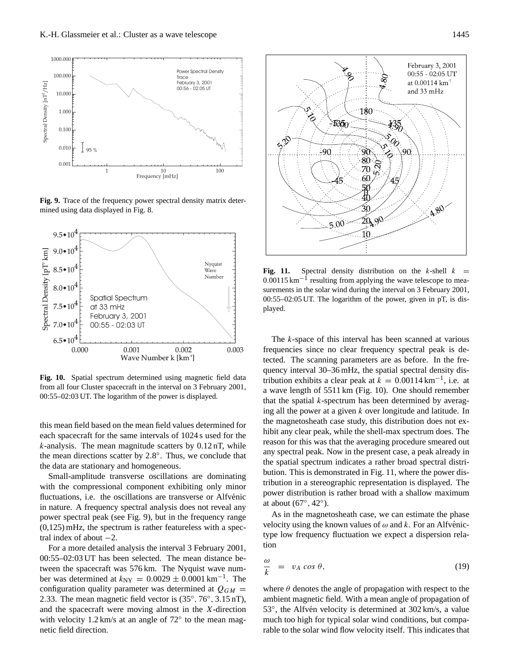

. **Fig. 9.** Trace of the frequency power spectral density matrix determined using data displayed in Fig. 8.



**Fig. 10.** Spatial spectrum determined using magnetic field data from all four Cluster spacecraft in the interval on 3 February 2001, 00:55–02:03 UT. The logarithm of the power is displayed.

this mean field based on the mean field values determined for each spacecraft for the same intervals of 1024 s used for the  $k$ -analysis. The mean magnitude scatters by  $0.12$  nT, while the mean directions scatter by 2.8°. Thus, we conclude that the data are stationary and homogeneous.

Small-amplitude transverse oscillations are dominating with the compressional component exhibiting only minor fluctuations, i.e. the oscillations are transverse or Alfvénic in nature. A frequency spectral analysis does not reveal any power spectral peak (see Fig. 9), but in the frequency range  $(0,125)$  mHz, the spectrum is rather featureless with a spectral index of about  $-2$ .

For a more detailed analysis the interval 3 February 2001, 00:55–02:03 UT has been selected. The mean distance between the spacecraft was 576 km. The Nyquist wave number was determined at  $k_{\text{NY}} = 0.0029 \pm 0.0001 \,\text{km}^{-1}$ . The configuration quality parameter was determined at  $Q_{GM}$  = 2.33. The mean magnetic field vector is  $(35^\circ, 76^\circ, 3.15 \text{ nT})$ , and the spacecraft were moving almost in the X-direction with velocity 1.2 km/s at an angle of 72° to the mean magnetic field direction.



**Fig. 11.** Spectral density distribution on the k-shell  $k =$  $0.00115 \text{ km}^{-1}$  resulting from applying the wave telescope to measurements in the solar wind during the interval on 3 February 2001, 00:55–02:05 UT. The logarithm of the power, given in pT, is displayed.

The k-space of this interval has been scanned at various frequencies since no clear frequency spectral peak is detected. The scanning parameters are as before. In the frequency interval 30–36 mHz, the spatial spectral density distribution exhibits a clear peak at  $k = 0.00114 \text{ km}^{-1}$ , i.e. at a wave length of 5511 km (Fig. 10). One should remember that the spatial  $k$ -spectrum has been determined by averaging all the power at a given k over longitude and latitude. In the magnetosheath case study, this distribution does not exhibit any clear peak, while the shell-max spectrum does. The reason for this was that the averaging procedure smeared out any spectral peak. Now in the present case, a peak already in the spatial spectrum indicates a rather broad spectral distribution. This is demonstrated in Fig. 11, where the power distribution in a stereographic representation is displayed. The power distribution is rather broad with a shallow maximum at about (67◦ , 42◦ ).

As in the magnetosheath case, we can estimate the phase velocity using the known values of  $\omega$  and k. For an Alfvénictype low frequency fluctuation we expect a dispersion relation

$$
\frac{\omega}{k} = v_A \cos \theta, \tag{19}
$$

where  $\theta$  denotes the angle of propagation with respect to the ambient magnetic field. With a mean angle of propagation of 53°, the Alfvén velocity is determined at 302 km/s, a value much too high for typical solar wind conditions, but comparable to the solar wind flow velocity itself. This indicates that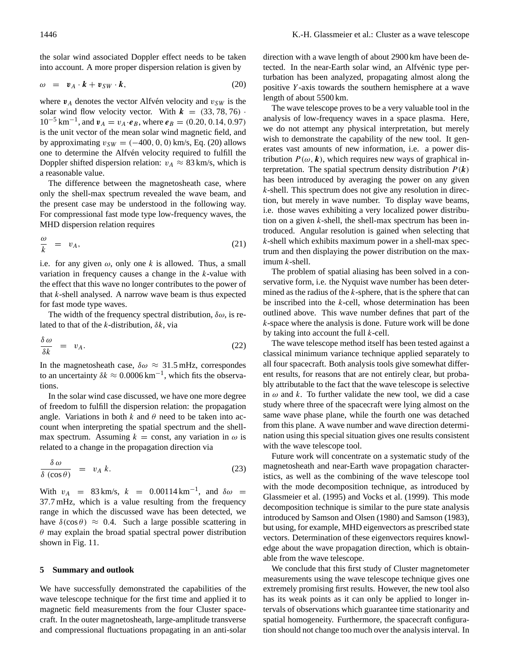the solar wind associated Doppler effect needs to be taken into account. A more proper dispersion relation is given by

$$
\omega = \mathbf{v}_A \cdot \mathbf{k} + \mathbf{v}_{SW} \cdot \mathbf{k}, \tag{20}
$$

where  $v_A$  denotes the vector Alfvén velocity and  $v_{SW}$  is the solar wind flow velocity vector. With  $k = (33, 78, 76)$ .  $10^{-5}$  km<sup>-1</sup>, and  $v_A = v_A \cdot e_B$ , where  $e_B = (0.20, 0.14, 0.97)$ is the unit vector of the mean solar wind magnetic field, and by approximating  $v_{SW} = (-400, 0, 0)$  km/s, Eq. (20) allows one to determine the Alfvén velocity required to fulfill the Doppler shifted dispersion relation:  $v_A \approx 83$  km/s, which is a reasonable value.

The difference between the magnetosheath case, where only the shell-max spectrum revealed the wave beam, and the present case may be understood in the following way. For compressional fast mode type low-frequency waves, the MHD dispersion relation requires

$$
\frac{\omega}{k} = v_A,\tag{21}
$$

i.e. for any given  $\omega$ , only one k is allowed. Thus, a small variation in frequency causes a change in the k-value with the effect that this wave no longer contributes to the power of that  $k$ -shell analysed. A narrow wave beam is thus expected for fast mode type waves.

The width of the frequency spectral distribution,  $\delta \omega$ , is related to that of the k-distribution,  $\delta k$ , via

$$
\frac{\delta \omega}{\delta k} = v_A. \tag{22}
$$

In the magnetosheath case,  $\delta \omega \approx 31.5$  mHz, correspondes to an uncertainty  $\delta k \approx 0.0006 \,\mathrm{km}^{-1}$ , which fits the observations.

In the solar wind case discussed, we have one more degree of freedom to fulfill the dispersion relation: the propagation angle. Variations in both  $k$  and  $\theta$  need to be taken into account when interpreting the spatial spectrum and the shellmax spectrum. Assuming  $k = \text{const}$ , any variation in  $\omega$  is related to a change in the propagation direction via

$$
\frac{\delta \omega}{\delta (\cos \theta)} = v_A k. \tag{23}
$$

With  $v_A$  = 83 km/s,  $k$  = 0.00114 km<sup>-1</sup>, and  $\delta \omega$  = 37.7 mHz, which is a value resulting from the frequency range in which the discussed wave has been detected, we have  $\delta(\cos \theta) \approx 0.4$ . Such a large possible scattering in  $\theta$  may explain the broad spatial spectral power distribution shown in Fig. 11.

### **5 Summary and outlook**

We have successfully demonstrated the capabilities of the wave telescope technique for the first time and applied it to magnetic field measurements from the four Cluster spacecraft. In the outer magnetosheath, large-amplitude transverse and compressional fluctuations propagating in an anti-solar direction with a wave length of about 2900 km have been detected. In the near-Earth solar wind, an Alfvénic type perturbation has been analyzed, propagating almost along the positive Y -axis towards the southern hemisphere at a wave length of about 5500 km.

The wave telescope proves to be a very valuable tool in the analysis of low-frequency waves in a space plasma. Here, we do not attempt any physical interpretation, but merely wish to demonstrate the capability of the new tool. It generates vast amounts of new information, i.e. a power distribution  $P(\omega, k)$ , which requires new ways of graphical interpretation. The spatial spectrum density distribution  $P(k)$ has been introduced by averaging the power on any given  $k$ -shell. This spectrum does not give any resolution in direction, but merely in wave number. To display wave beams, i.e. those waves exhibiting a very localized power distribution on a given  $k$ -shell, the shell-max spectrum has been introduced. Angular resolution is gained when selecting that k-shell which exhibits maximum power in a shell-max spectrum and then displaying the power distribution on the maximum k-shell.

The problem of spatial aliasing has been solved in a conservative form, i.e. the Nyquist wave number has been determined as the radius of the  $k$ -sphere, that is the sphere that can be inscribed into the  $k$ -cell, whose determination has been outlined above. This wave number defines that part of the k-space where the analysis is done. Future work will be done by taking into account the full  $k$ -cell.

The wave telescope method itself has been tested against a classical minimum variance technique applied separately to all four spacecraft. Both analysis tools give somewhat different results, for reasons that are not entirely clear, but probably attributable to the fact that the wave telescope is selective in  $\omega$  and k. To further validate the new tool, we did a case study where three of the spacecraft were lying almost on the same wave phase plane, while the fourth one was detached from this plane. A wave number and wave direction determination using this special situation gives one results consistent with the wave telescope tool.

Future work will concentrate on a systematic study of the magnetosheath and near-Earth wave propagation characteristics, as well as the combining of the wave telescope tool with the mode decomposition technique, as introduced by Glassmeier et al. (1995) and Vocks et al. (1999). This mode decomposition technique is similar to the pure state analysis introduced by Samson and Olsen (1980) and Samson (1983), but using, for example, MHD eigenvectors as prescribed state vectors. Determination of these eigenvectors requires knowledge about the wave propagation direction, which is obtainable from the wave telescope.

We conclude that this first study of Cluster magnetometer measurements using the wave telescope technique gives one extremely promising first results. However, the new tool also has its weak points as it can only be applied to longer intervals of observations which guarantee time stationarity and spatial homogeneity. Furthermore, the spacecraft configuration should not change too much over the analysis interval. In